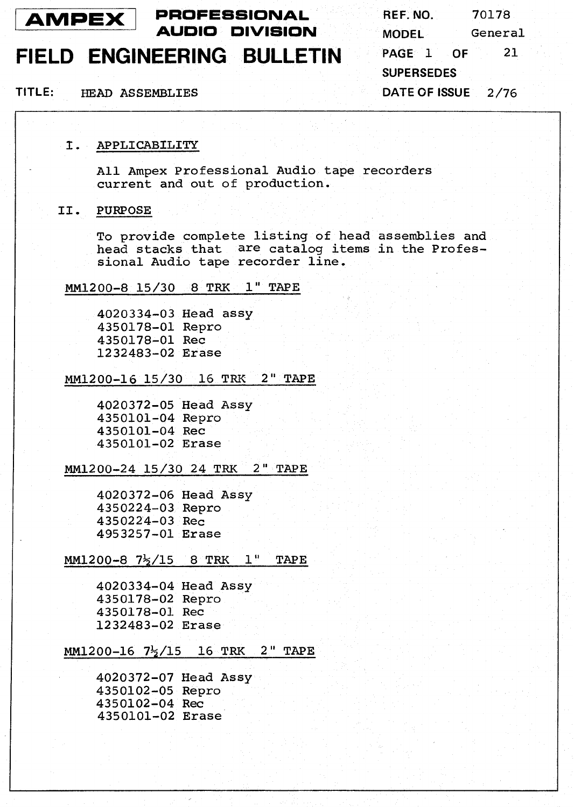

**PROFESSIONAL REF. NO.** 70178

### **FIELD ENGINEERING BULLETIN PAGE** 1 **OF** <sup>21</sup>

**AMPEX** PROFESSIONAL REF. NO. 70178<br> **AUDIO DIVISION** MODEL General **SUPERSEDES DATE OF ISSUE** 2/76

**TITLE: HEAD** ASSEMBLIES

#### I. APPLICABILITY

All Ampex Professional Audio tape recorders current and out of production.

#### 11. PURPOSE

To provide complete listing of head assemblies and head stacks that are catalog items in the Professional Audio tape recorder line.

### MM1200-8 15/30 8 TRK 1" TAPE

4020334-03 Head assy 4350178-01 Repro 4350178-01 Rec 1232483-02 Erase

#### MM1200-16 15/30 16 TRK 2" TAPE

4020372-05 Head Assy 4350101-04 Repro 4350101-04 Rec 4350101-02 Erase

#### MM1200-24 15/30 24 TRK 2" TAPE

4020372-06 Head Assy 4350224-03 Repro 4350224-03 Rec 4953257-01 Erase

#### MM1200-8 7%/15 8 TRK **1"** TAPE

4020334-04 Head Assy 4350178-02 Repro 4350178-01 Rec 1232483-02 Erase

#### $MM1200-16$   $7\frac{1}{2}/15$  16 TRK 2" TAPE

4020372-07 Head Assy 4350102-05 Repro 4350101-02 Erase 4350102-04 Rec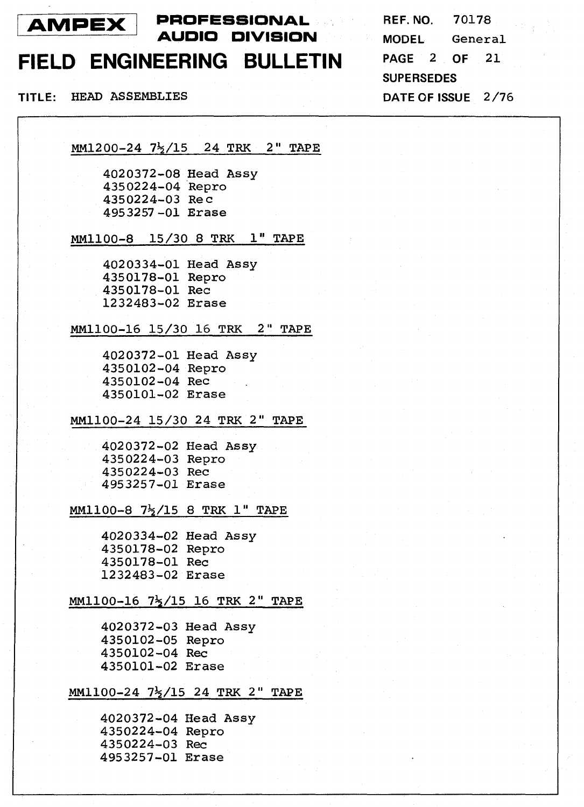

**AMPEX** PROFESSIONAL REF. NO. 70178<br> **AUDIO DIVISION** MODEL General

### **FIELD ENGINEERING BULLETIN**

**TITLE:** HEAD ASSEMBLIES **DATE OF ISSUE** 2/76

**PAGE** 2 **OF** 21 **SUPERSEDES** 

MM1200-24 7\$/15 24 TRK 2" TAPE

4020372-08 Head Assy 4350224-04 Repro 4350224-03 Re c 4953257 -01 Erase

**MM1100-8** 15/30 8 TRK **1"** TAPE

4020334-01 Head **Assy**  4350178-01 Repro 4350178-01 Rec 1232483-02 Erase

MM1100-16 15/30 **16** TRK 2" TAPE

4020372-01 Head Assy 4350102-04 Repro 4350102-04 Rec 4350101-02 Erase

MM1100-24 15/30 24 TRK 2" TAPE

4020372-02 Head **Assy**  4350224-03 Repro 4350224-03 Rec 4953257-01 Erase

**MM1100-8** 7%/15 8 TRK 1" TAPE

4020334-02 Head **Assy**  4350178-02 Repro 4350178-01 Rec 1232483-02 Erase

### MM1100-16 7<sup>1</sup>/15 16 TRK 2" TAPE

4020372-03 Head **Assy**  4350102-05 Repro 4350102-04 Rec 4350101-02 Erase

#### MM1100-24 7\$/15 24 TRK 2" TAPE

4020372-04 Head Assy 4350224-04 Repro 4350224-03 Rec 4953257-01 Erase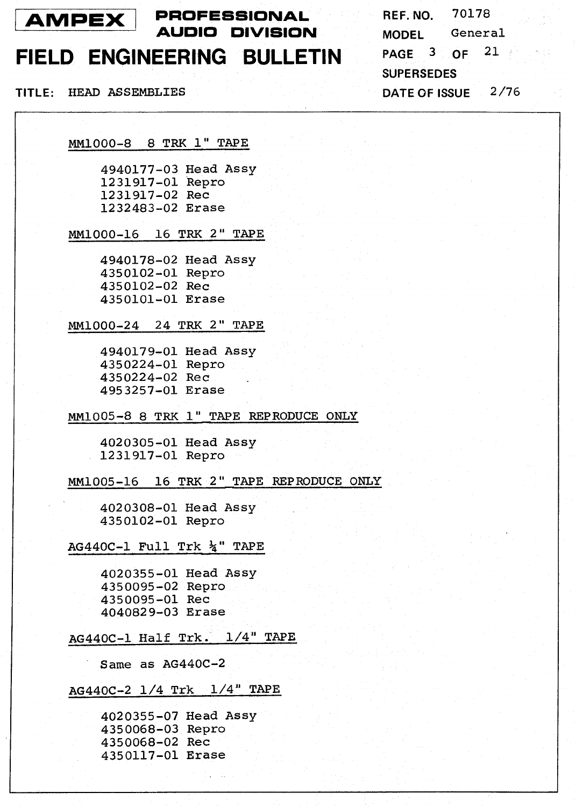

### **FIELD ENGINEERING BULLETIN**

**TITLE:** HEAD ASSEMBLIES **DATE OF ISSUE 2/76** 

**REF. NO. 70178 MODEL** General **PAGE 3 OF 21 SUPERSEDES** 

**MM1000-8 8** TRK **1"** TAPE

**4940177-03** Head **Assy 1231917-01** Repro **1231917-02** Rec **1232483-02** Erase

**MM1000-16 16 TRK 2"** TAPE

**4940178-02** Head **Assy 4350102-01** Repro **4350102-02** Rec **4350101-01** Erase

**MM1000-24 24** TRK **2"** TAPE

**4940179-01** Head **Assy 4350224-01** Repro **4350224-02** Rec **4953257-01** Erase

**MM1005-8 8** TRK **1"** TAPE REPRODUCE **ONLY** 

**4020305-01** Head **Assy 1231917-01** Repro

**MM1005-16 16** TRK **2"** TAPE REPRODUCE **ONLY** 

**4020308-01** Head **Assy 4350102-01** Repro

**AG44OC-1 Full** Trk 4" TAPE

**4020355-01** Head **Assy 4350095-02** Repro **4350095-01** Rec **4040829-03** Erase

**AG440C-1 Half** Trk. **1/4"** TAPE

Same as **AG440C-2** 

**AG44OC-2 1/4** Trk **1/4"** TAPE

**4020355-07** Head **Assy 4350068-03** Repro **4350068-02** Rec **4350117-01** Erase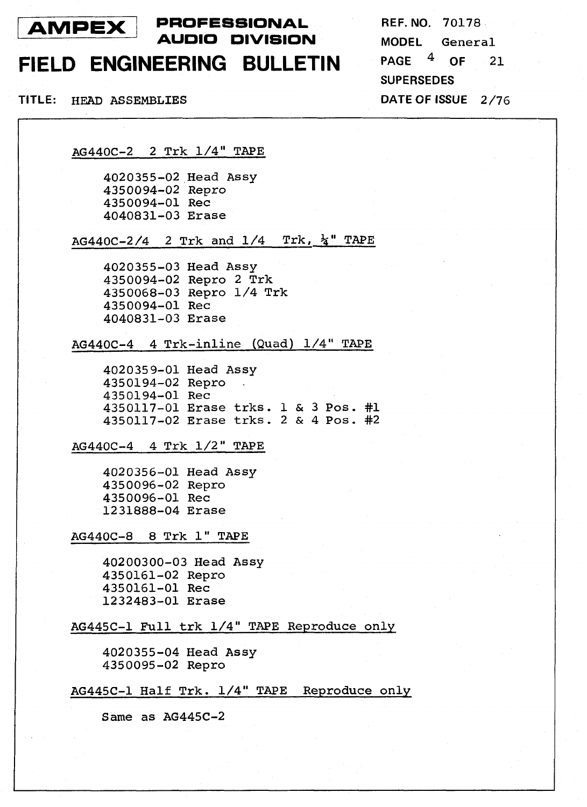

### **PROFESSIONAL REF.** NO. 70178 **AUDIO DIVISION MODEL** General

## FIELD ENGINEERING BULLETIN PAGE 4 OF 21

**SUPERSEDES** 

**TITLE:** HEAD ASSEMBLIES **DATE OF ISSUE** 2/76

AG44OC-2 2 Trk 1/4" TAPE

4020355-02 Head Assy 4350094-02 Repro 4350094-01 Rec 4040831-03 Erase

AG440C-2/4 2 Trk and  $1/4$  Trk,  $\frac{1}{4}$  TAPE

4020355-03 Head Assy 4350094-02 Repro 2 Trk 4350068-03 Repro 1/4 Trk 4350094-01 Rec 4040831-03 Erase

 $AG440C-4$  4 Trk-inline (Quad)  $1/4$ " TAPE

4020359-01 Head Assy 4350194-02 Repro . 4350194-01 Rec 4350117-01 Erase trks. 1 & 3 **Pos. #1**  4350117-02 Erase trks. 2 & 4 **Pos.** #2

AG44OC-4 4 Trk 1/2" TAPE

4020356-01 Head Assy 4350096-02 Repro 4350096-01 Rec 1231888-04 Erase

AG440C-8 8 Trk **1"** TAPE

40200300-03 Head Assy 4350161-02 Repro 4350161-01 Rec 1232483-01 Erase

AG445C-1 Full trk 1/4" TAPE Reproduce only

4020355-04 Head Assy 4350095-02 Repro

AG445C-1 Half Trk. 1/4" TAPE Reproduce only

Same **as** AG445C-2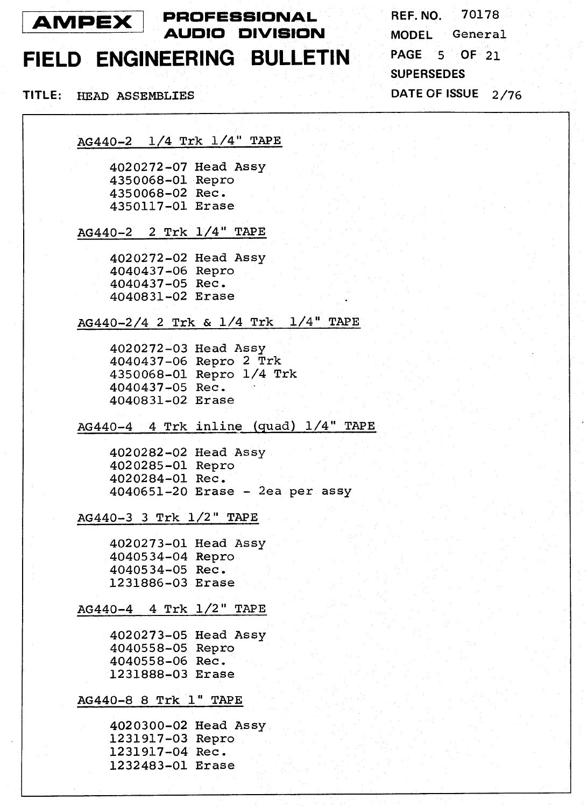

### **PROFESSIONAL AMPEX PROFESSIONAL** REF. NO. 70178

### **FIELD ENGINEERING BULLETIN PAGE <sup>5</sup>OF <sup>21</sup>**

**AG440-2 1/4** Trk **1/4"** TAPE

**4020272-07** Head **Assy 4350068-01** Repro **4350068-02** Rec. **4350117-01** Erase

**AG440-2 2** Trk **1/4"** TAPE

**4020272-02** Head **Assy 4040437-06** Repro **4040437-05** Rec. **4040831-02** Erase

**AG440-2/4 2** Trk & **1/4** Trk **1/4"** TAPE

**4020272-03** Head **Assy 4040437-06** Repro **2** Trk **4350068-01** Repro **1/4** Trk **4040437-05** Rec. **4040831-02** Erase

**AG440-4 4** Trk inline (quad) **1/4"** TAPE

**4020282-02** Head **Assy 4020285-01** Repro **4020284-01** Rec. **4040651-20** Erase - 2ea per assy

**AG440-3 3** Trk **1/2"** TAPE

**4020273-01** Head **Assy 4040534-04** Repro **4040534-05** Rec. **1231886-03** Erase

#### **AG440-4 4** Trk **1/2"** TAPE

**4020273-05** Head **Assy 4040558-05** Repro **4040558-06** Rec. **1231888-03** Erase

#### **AG440-8 8** Trk **1"** TAPE

**4020300-02** Head **Assy 1231917-03** Repro **1231917-04** Rec. **1232483-01** Erase

**MODEL** General **SUPERSEDES TITLE: HEAD ASSEMBLIES DATE OF ISSUE 2/76**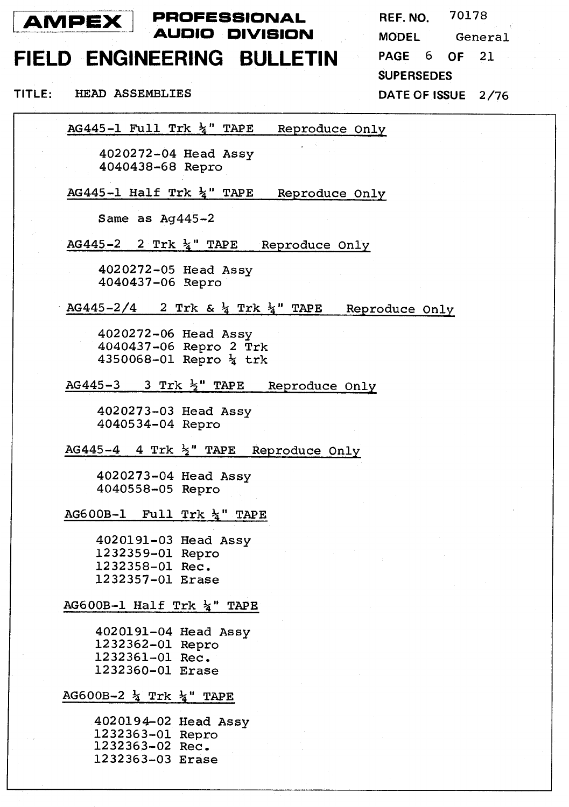

 $\mathbf{I}$ 

**PROFESSIONAL AUDIO DIVISION** 

### **FIELD ENGINEERING BULLETIN**

**REF. NO.** 70178 **MODEL** General **PAGE** 6 **OF** 21 **SUPERSEDES** 

**TITLE: HEAD** ASSEMBLIES **DATE OF ISSUE** 2/76

AG445-1 Full Trk &" TAPE Reproduce Only

4020272-04 Head Assy 4040438-68 Repro

AG445-1 Half Trk **&I'** TAPE Reproduce Only

Same as Ag445-2

AG445-2 2 Trk  $\frac{1}{4}$ " TAPE Reproduce Only

4020272-05 Head Assy 4040437-06 3epro

AG445-2/4 2 Trk &  $\frac{1}{4}$  Trk  $\frac{1}{4}$  TAPE Reproduce Only

4020272-06 Head Assy 4040437-06 Repro 2 Trk 4350068-01 Repro % trk

AG445-3 3 Trk  $\frac{1}{2}$ " TAPE Reproduce Only

4020273-03 Head Assy 4040534-04 Repro

AG445-4 4 Trk  $\frac{1}{2}$ " TAPE Reproduce Only

4020273-04 Head Assy 4040558-05 Repro

AG600B-1 Full Trk  $\frac{1}{4}$ " TAPE

4020191-03 Head Assy 1232359-01 Repro 1232358-01 Rec. 1232357-01 Erase

#### AG600B-1 Half Trk  $\frac{1}{4}$ " TAPE

4020191-04 Head Assy 1232362-01 Repro 1232361-01 Rec. 1232360-01 Erase

#### AG600B-2  $\frac{1}{4}$  Trk  $\frac{1}{4}$  TAPE

4020194-02 Head Assy 1232363-01 Repro 1232363-02 Rec. 1232363-03 Erase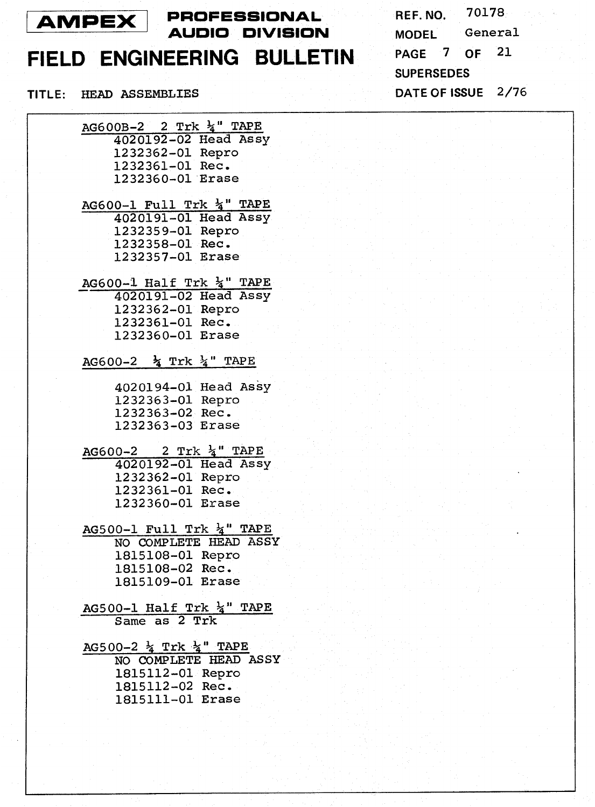

# **FIELD ENGINEERING BULLETIN**

70178 REF. NO. MODEL General **PAGE** 7 **OF** 21 **SUPERSEDES TITLE:** HEAD ASSEMBLIES **DATE OF ISSUE** 2/76

| AG600B-2 2 Trk 4" TAPE                |
|---------------------------------------|
| 4020192-02 Head Assy                  |
| 1232362-01 Repro                      |
| 1232361-01 Rec.                       |
| 1232360-01 Erase                      |
|                                       |
|                                       |
| AG600-1 Full Trk $\frac{1}{4}$ " TAPE |
| 4020191-01 Head Assy                  |
| 1232359-01 Repro                      |
| 1232358-01 Rec.                       |
| 1232357-01 Erase                      |

AG600-1 Half Trk  $\frac{1}{4}$ " TAPE 4020191-02 Head Assy - 1232362-01 Repro 1232361-01 Rec. 1232360-01 Erase

#### AG600-2 % Trk **&I'** TAPE

- 4020194-01 Head Assy 1232363-01 Repro 1232363-02 Rec. 1232363-03 Erase
- AG600-2 2 Trk **&'I** TAPE 4020192-01 Head Assy 1232362-01 Repro 1232361-01 Rec. 1232360-01 Erase

AG500-1 Full Trk **&I'** TAPE NO COMPLETE HEAD ASSY 1815108-01 Repro 1815108-02 Rec. 1815109-01 Erase

AG500-1 Half Trk  $\frac{1}{4}$ " TAPE Same as 2 Trk

AG500-2 & Trk **&'I** TAPE NO COMPLETE HEAD ASSY 1815112-01 Repro 1815112-02 Rec. 1815111-01 Erase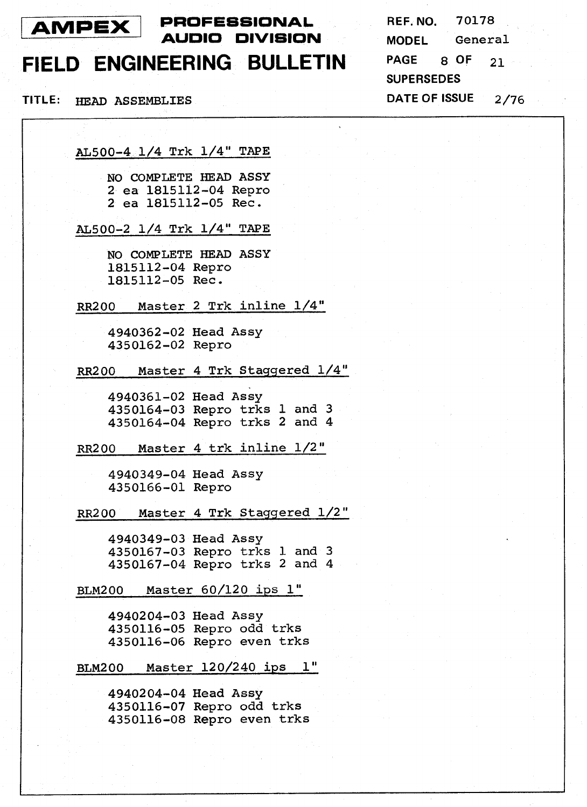### <sup>I</sup>**AMPEX** <sup>I</sup>

### **PROFESSIONAL REF. NO.** 70178 **AUDIO DIVISION MODEL** General

### **FIELD ENGINEERING BULLETIN PAGE** 8 **OF** <sup>21</sup>

**SUPERSEDES TITLE:** *HEAD* ASSEMBLIES **DATE OF ISSUE** 2/76

AL500-4. 1/4 Trk 1/4" TAPE

NO COMPLETE HEAD **ASSY**  2 ea 1815112-04 Repro 2 ea 1815112-05 Rec.

AL500-2 1/4 Trk 1/4" TAPE

NO COMPLETE HEAD **ASSY**  1815112-04 Repro 1815112-05 Rec.

RR200 Master 2 Trk inline 1/4"

4940362-02 Head **Assy**  4350162-02 Repro

RR200 Master 4 Trk Staqqered 1/4"

4940361-02 Head **Assy**  4350164-03 Repro trks **1** and 3 4350164-04 Repro trks 2 and 4

RR200 Master 4 trk inline 1/2"

4940349-04 Head **Assy**  4350166-01 Repro

RR200 Master 4 Trk Staqqered 1/2"

4940349-03 Head **Assy**  4350167-03 Repro trks **1** and **3**  4350167-04 Repro trks 2 and 4

BLM200 Master 60/120 **ips 1"** 

4940204-03 Head **Assy**  4350116-05 Repro odd trks 4350116-06 Repro even trks

BLM200 Master 120/240 **ips 1"** 

4940204-04 Head **Assy**  4350116-07 Repro odd trks 4350116-08 Repro even trks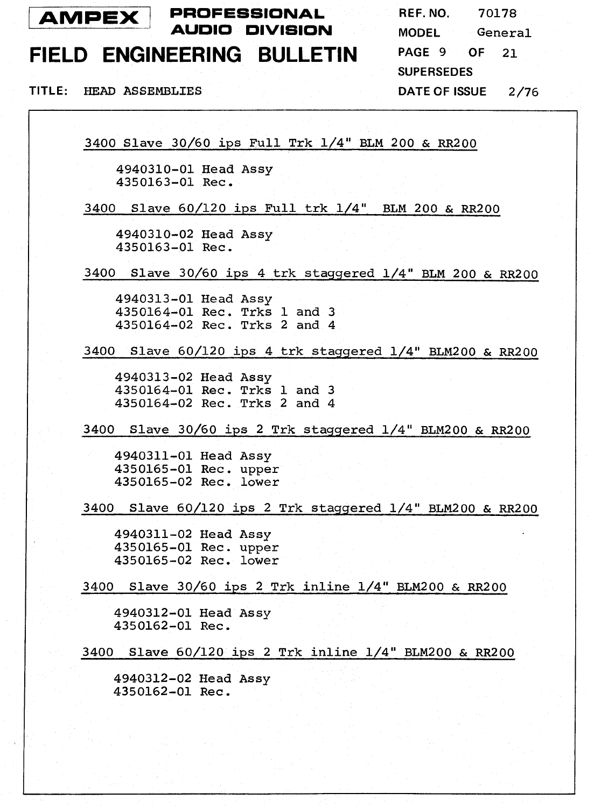

**PROFESSIONAL REF. NO.** 70178 **AUDIO DIVISION MODEL** General

# **FIELD ENGINEERING BULLETIN PAGE** 9 **OF** <sup>21</sup>

**SUPERSEDES** 

**TITLE: HEAD ASSEMBLIES DATE OF ISSUE** 2/76

3400 Slave 30/60 ips Full Trk 1/4" BLM 200 & RR200

4940310-01 Head **Assy**  4350163-01 Rec.

3400 Slave 60/120 ips Full trk 1/4" BLM 200 & RR200

4940310-02 Head **Assy**  4350163-01 Rec.

3400 Slave 30/60 **ips** 4 trk staggered 1/4" BLM 200 & RR200

4940313-01 Head **Assy**  4350164-01 Rec. Trks 1 and 3 4350164-02 Rec. Trks 2 and 4

3400 Slave 60/120 ips 4 trk staqgered 1/4" BLM200 & RR200

4940313-02 Head **Assy**  4350164-01 Rec. Trks 1 and 3 4350164-02 Rec. Trks 2 and 4

3400 Slave 30/60 ips **2** Trk staqgered 1/4" BLM200 & RR200

4940311-01 Head **Assy**  4350165-01 Rec. upper 4350165-02 Rec. lower

3400 Slave 60/120 **ips** 2 Trk staqqered 1/4" BLM200 & RR200

4940311-02 Head **Assy**  4350165-01 Rec. upper 4350165-02 Rec. lower

3400 Slave 30/60 ips 2 Trk inline 1/4" BLM200 & RR200

4940312-01 Head **Assy**  4350162-01 Rec.

3400 Slave 60/120 ips 2 Trk inline 1/4" BLM2OO & RR200

4940312-02 Head **Assy**  4350162-01 Rec.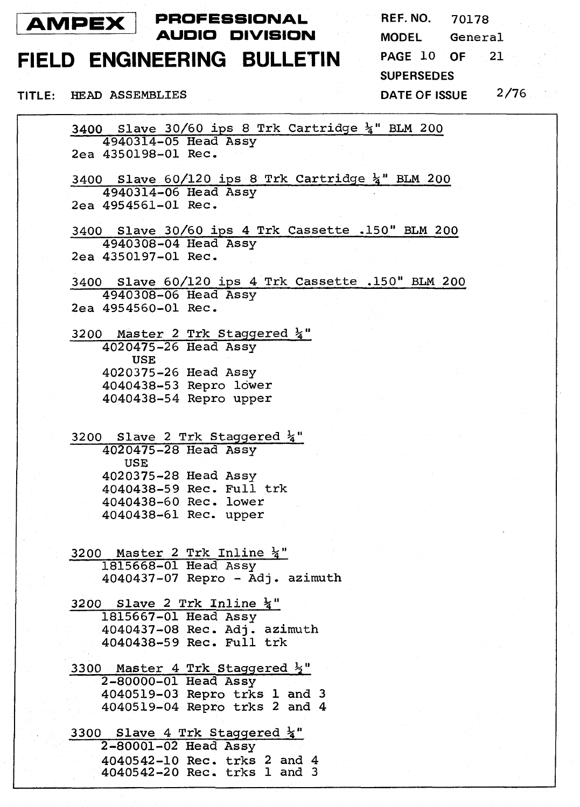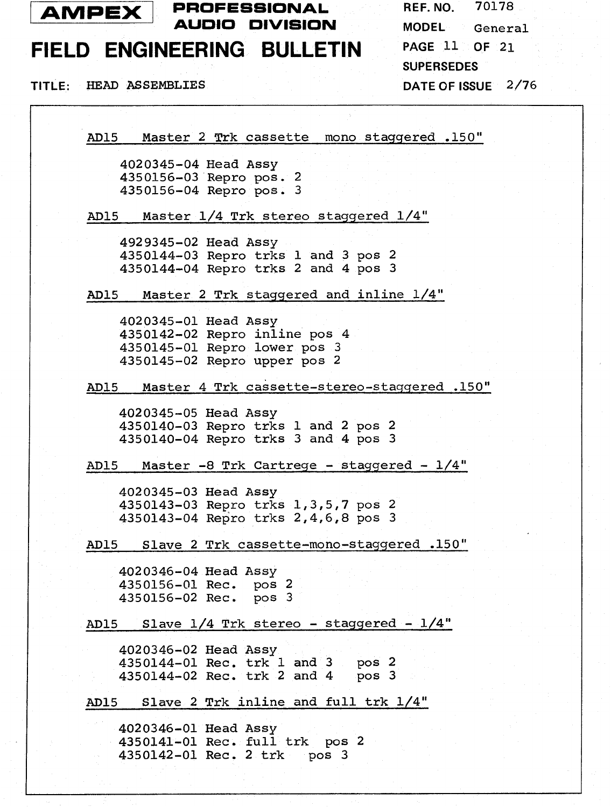

**AMPEX PROFESSIONAL** REF. NO. 70178 **AUDIO DIVISION** 

# **FIELD ENGINEERING BULLETIN PAGE** 11 **OF** <sup>21</sup>

**TITLE: HEAD ASSEMBLIES** 

**MODEL** General **SUPERSEDES DATE OF ISSUE** 2/76

AD15 Master 2 Trk cassette mono staqqered ,150"

4020345-04 Head Assy 4350156-03 Repro pos. **2**  4350156-04 Repro **pos.** 3

AD15 Master 1/4 Trk stereo staqgered 1/4"

4929345-02 Head Assy 4350144-03 Repro trks 1 and 3 **pos** <sup>2</sup> 4350144-04 Repro trks 2 and 4 **pos** 3

AD15 Master 2 Trk staqqered and inline 1/4"

4020345-01 Head Assy 4350142-02 Repro inline **pos** 4 4350145-01 Repro lower **pos** 3 4350145-02 Repro upper **pos** 2

AD15 Master 4 Trk **cassette-stereo-staqqered** ,150''

4020345-05 Head Assy 4350140-03 Repro trks **1** and 2 **pos** 2 4350140-04 Repro trks 3 and 4 **pos** 3

AD15 Master **-8** Trk Cartrege - staqqered - 1/4"

4020345-03 Head Assy 4350143-03 Repro trks 1,3,5,7 pos 2 4350143-04 Repro trks 2,4,6,8 **pos** 3

AD15 Slave 2 Trk cassette-mono-staqqered ,150''

4020346-04 Head **Assy**  4350156-01 Rec, **pos** 2 4350156-02 Rec, **pos** 3

AD15 Slave 1/4 Trk stereo - staqqered - 1/4"

4020346-02 Head **Assy**  4350144-01 Rec. trk **1** and 3 **pos** 2 4350144-02 Rec. trk 2 and 4 **pos** 3

AD15 Slave 2 Trk inline and **full** trk 1/4"

4020346-01 Head Assy 4350141-01 Rec. full trk **pos** 2 4350142-01 Rec. 2 trk pos 3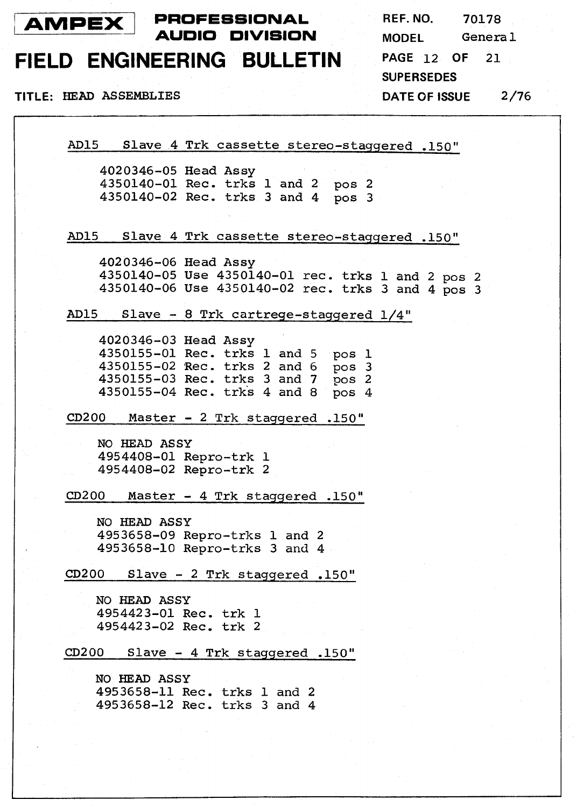

REF. NO. 70178 General **MODEL** PAGE 12 OF  $21$ **SUPERSEDES**  $2/76$ **DATE OF ISSUE** 

TITLE: HEAD ASSEMBLIES

AD15 Slave 4 Trk cassette stereo-staqqered .150"

4020346-05 Head Assy 4350140-01 Rec. trks 1 and 2 **pos** <sup>2</sup> 4350140-02 Rec. trks 3 and 4 **pos** 3

AD15 Slave 4 Trk cassette stereo-staqqered .150"

4020346-06 Head **Assy**  4350140-05 Use 4350140-01 rec. trks 1 and 2 **pos** <sup>2</sup> 4350140-06 Use 4350140-02 rec. trks 3 and 4 **pos** 3

AD15 Slave - **8** Trk cartrege-staqgered 1/4"

4020346-03 Head Assy 4350155-01 Rec. trks **1** and 5 pos 1 4350155-02 Rec. trks 2 and 6 **pos** 3 4350155-03 Rec. trks 3 and 7 pos 2 4350155-04 Rec. trk's 4 and 8 **pos** 4

CD200 Master - 2 Trk stagqered -150"

**NO** HEAD ASSY 4954408-01 Repro-trk 1 4954408-02 Repro-trk 2

a200 Master - 4 Trk staqqered .150"

**NO HEAD** ASSY 4953658-09 Repro-trks **1** and 2 4953658-10 Repro-trks 3 and 4

**CD200** Slave - 2 Trk stagqered .150"

**NO** HEAD ASSY 4954423-01 Rec. trk 1 4954423-02 Rec. trk 2

a200 Slave - 4 Trk stagqered .150"

**NO HEAD** ASSY 4953658-11 Rec. trks 1 and 2 4953658-12 Rec. trks 3 and 4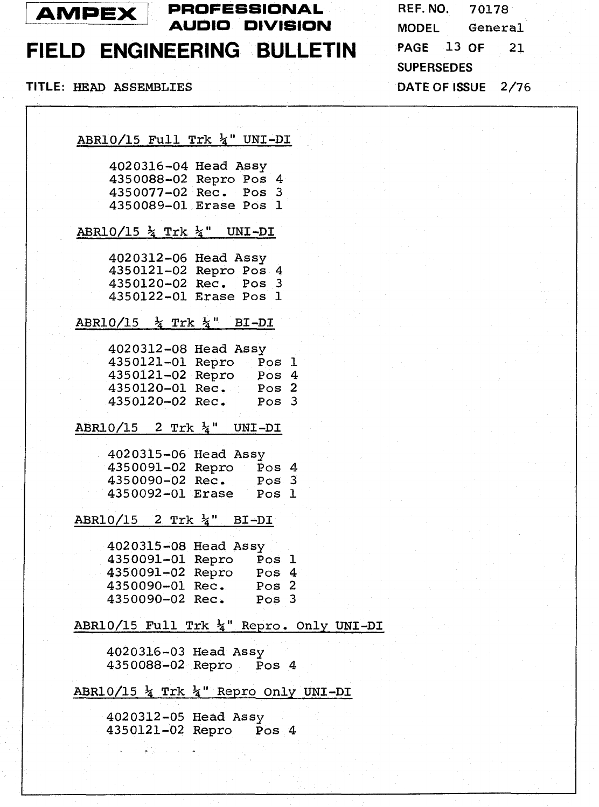

### **AMPEX PROFESSIONAL REF. NO. 70178 AUDIO DlVlSiON MODEL** General

# **FIELD ENGINEERING BULLETIN**

**TITLE:** HEAD ASSEMBLIES **DATE OF ISSUE** 2/76

**PAGE** 13 **OF** 21 **SUPERSEDES** 

ABR10/15 Full Trk &" UNI-DI 4020316-04 Head Assy 4350088-02 Repro **Pos** 4 4350077-02 Rec. **Pos** 3 4350089-01 Erase **Pos** 1 ABR10/15  $\frac{1}{4}$  Trk  $\frac{1}{4}$  " UNI-DI 4020312-06 Head Assy 4350121-02 Repro Pos 4 4350120-02 Rec. Pos 3 4350122-01 Erase Pos 1 ABR10/15  $\frac{1}{4}$  Trk  $\frac{1}{4}$ " BI-DI 4020312-08 Head Assy 4350121-01 Repro Pos 1 4350121-02 Repro **Pos** 4 4350120-01 Rec. Pos 2 4350120-02 Rec, **Pos** *3*  ABR10/15 2 Trk **&'I** UNI-DI 4020315-06 Head Assy 4350091-02 Repro **Pos** 4 4350090-02 Rec. **Pos** 3 4350092-01 Erase Pos 1  $ABR10/15$  2 Trk  $\frac{1}{4}$ " BI-DI 4020315-08 Head Assy 4350091-01 Repro **Pos** 1 4350091-02 Repro Pos 4 4350090-01 Rec. **Pos** 2 4350090-02 Rec, **Pos** 3 ABR10/15 Full Trk **&I'** Repro. Only UNI-DI 4020316-03 Head Assy 4350088-02 Repro Pos 4 ABRlO/lS Trk **&I'** Repro Only UNI-DI

> 4020312-05 Head Assy 4350121-02 Repro **Pos** 4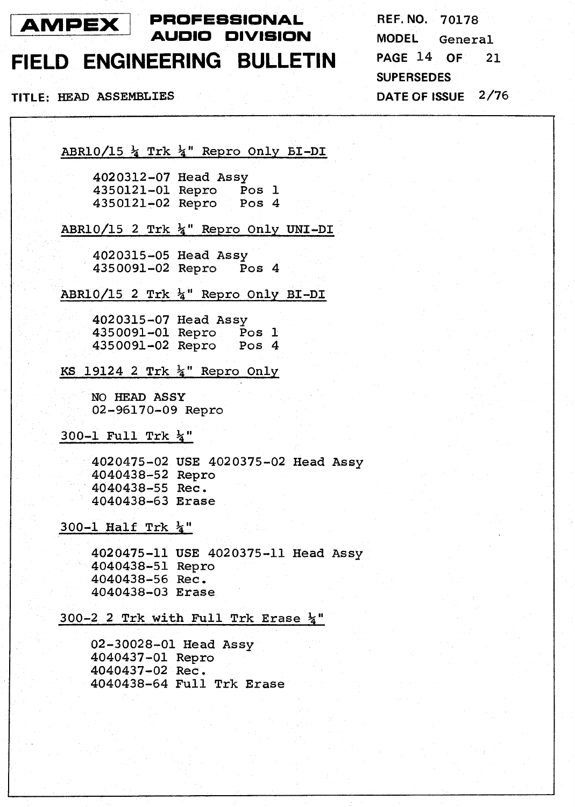

**PROFESSIONAL REF. NO. 70178 AUDIO DIVISION MODEL** General

### **FIELD ENGINEERING BULLETIN PAGE <sup>14</sup>OF <sup>21</sup>**

**SUPERSEDES TITLE:** HEAD ASSEMBLIES **DATE OF [SUE 2/76** 

**ABRl0/15** % Trk 44'' Repro Only 61-DI

**4020312-07** Head **Assy 4350121-01** Repro **Pos 1 4350121-02** Repro **Pos 4** 

### **ABR10/15 2** Trk **&'I** Repro **Only** UNI-DI

**4020315-05** Head **Assy 4350091-02** Repro **Pos 4** 

**ABRlO/15 2** Trk **%I'** Repro **Only** BI-DI

**4020315-07** Head **Assy 4350091-01** Repro **Pos 1 4350091-02** Repro **Pos 4** 

**KS 19124 2 Trk**  $\frac{1}{4}$ **" Repro Only** 

NO HEAD **ASSY 02-96170-09** Repro

**300-1 Full** Trk %''

**4020475-02 USE 4020375-02** Head **Assy 4040438-52** Repro **4040438-55** Rec. **4040438-63** Erase

#### **300-1 Half Trk**  $\frac{1}{4}$ **"**

**4020475-11** USE **4020375-11** Head *Assy*  **4040438-51** Repro **4040438-56** Rec. **4040438-03** Erase

#### **300-2 2** Trk **with Full** Trk Erase &"

**02-30028-01** Head **Assy 4040437-01** Repro **4040437-02** Rec. **4040438-64 Full** Trk Erase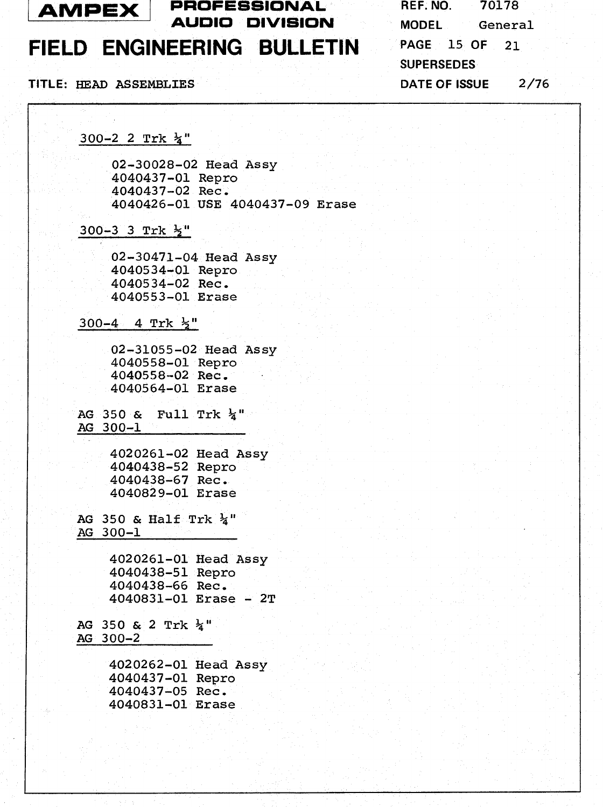

### **FIELD ENGINEERING BULLETIN**

#### **TITLE: HEAD** ASSEMBLIES **DATE OF ISSUE 2/76**

**300-2 2** Trk **&'I** 

**02-30028-02** Head **Assy 4040437-01** Repro **4040437-02** Rec. **4040426-01 USE 4040437-09** Erase

**300-3 3** Trk

**02-30471-04** Head **Assy 4040534-01** Repro **4040534-02** Rec, **4040553-01** Erase

**300-4 4** Trk **+I1** 

**02-31055-02** Head **Assy 4040558-01** Repro **4040558-02** Rec. **4040564-01** Erase

**AG 350** & **Full** Trk **&I1**  *AG* **300-1** 

> **4020261-02** Head **Assy 4040438-52** Repro **4040438-67** Rec. **4040829-01** Erase

AG **350** & Half Trk **&I' AG 300-1** 

> **4020261-01** Head **Assy 4040438-51** Repro **4040438-66** Rec. **4040831-01** Erase - 2T

AG **350** & **2** Trk **&I1 AG 300-2** 

> **4020262-01** Head **Assy 4040437-01** Repro **4040437-05** Rec. **4040831-01** Erase

| REF. NO.             | 70178   |      |  |  |
|----------------------|---------|------|--|--|
| <b>MODEL</b>         | General |      |  |  |
| PAGE 15 OF           |         | 21   |  |  |
| <b>SUPERSEDES</b>    |         |      |  |  |
| <b>DATE OF ISSUE</b> |         | 2/76 |  |  |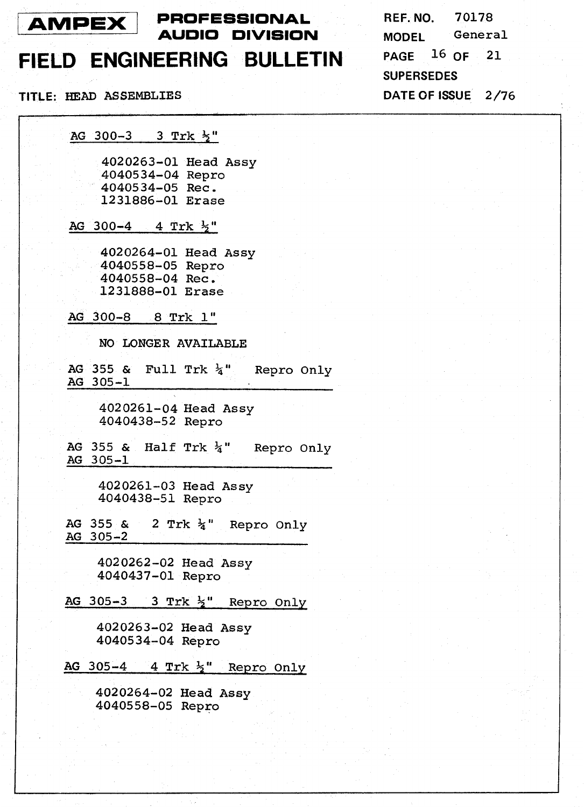

**PROFEsSlONAL REF. NO.** 70178 **AUDIO DIVISION** 

# FIELD ENGINEERING BULLETIN

TITLE: HEAD ASSEMBLIES

**AG** 300-3 3 Trk **%I'** 

4020263-01 Head Assy 4040534-04 Repro 4040534-05 Rec. 1231886-01 Erase

AG 300-4 4 Trk **%'I** 

4020264-01 Head Assy 4040558-05 Repro 4040558-04 Rec. 1231888-01 Erase

**AG** 300-8 8 Trk 1"

NO LONGER AVAILABLE

AG 355 & Full Trk  $\frac{1}{4}$ " Repro Only AG 305-1

> 4020261-04 Head **Assy**  4040438-52 Repro

AG 355 & Half Trk  $\frac{1}{4}$ " Repro Only AG 305-1

> 4020261-03 Head Assy 4040438-51 Repro

AG 355 & 2 Trk  $\frac{1}{4}$ " Repro Only AG 305-2

> 4020262-02 Head **Assy**  4040437-01 Repro

AG 305-3 3 Trk **\$I'** Repro Only

4020263-02 Head Assy 4040534-04 Repro

AG 305-4 4 Trk 3" Repro **Only** 

4020264-02 Head Assy 4040558-05 Repro

General **MODEL** PAGE  $16$  OF 21 **SUPERSEDES** DATE OF ISSUE 2/76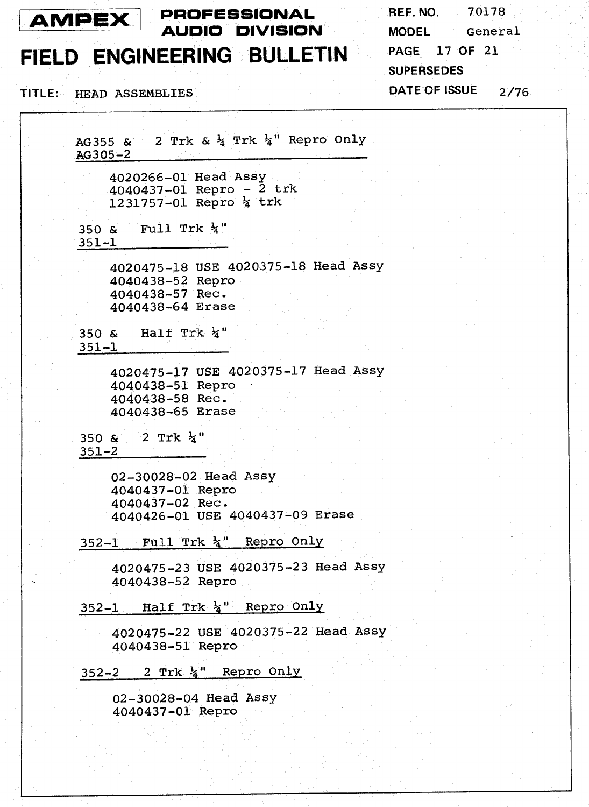

# FIELD ENGINEERING BULLETIN

TITLE: HEAD ASSEMBLIES

REF. NO. 70178 General **MODEL PAGE 17 OF 21 SUPERSEDES** DATE OF ISSUE  $2/76$ 

AG355 & 2 Trk &  $\frac{1}{4}$  Trk  $\frac{1}{4}$ " Repro Only AG305-2 4020266-01 Head Assy 4040437-01 Repro -  $\bar{2}$  trk 1231757-01 Repro 4 trk Full Trk  $h'$  $350 \&$  $351 - 1$ 4020475-18 USE 4020375-18 Head Assy 4040438-52 Repro 4040438-57 Rec. 4040438-64 Erase 350 & Half Trk  $\frac{1}{4}$ "  $351 - 1$ 4020475-17 USE 4020375-17 Head Assy 4040438-51 Repro 4040438-58 Rec. 4040438-65 Erase 2 Trk  $\frac{1}{4}$ " 350 &  $351 - 2$ 02-30028-02 Head Assy 4040437-01 Repro 4040437-02 Rec. 4040426-01 USE 4040437-09 Erase 352-1 Full Trk 4" Repro Only 4020475-23 USE 4020375-23 Head Assy 4040438-52 Repro 352-1 Half Trk }" Repro Only 4020475-22 USE 4020375-22 Head Assy 4040438-51 Repro  $352-2$  2 Trk  $\frac{1}{4}$  Repro Only 02-30028-04 Head Assy 4040437-01 Repro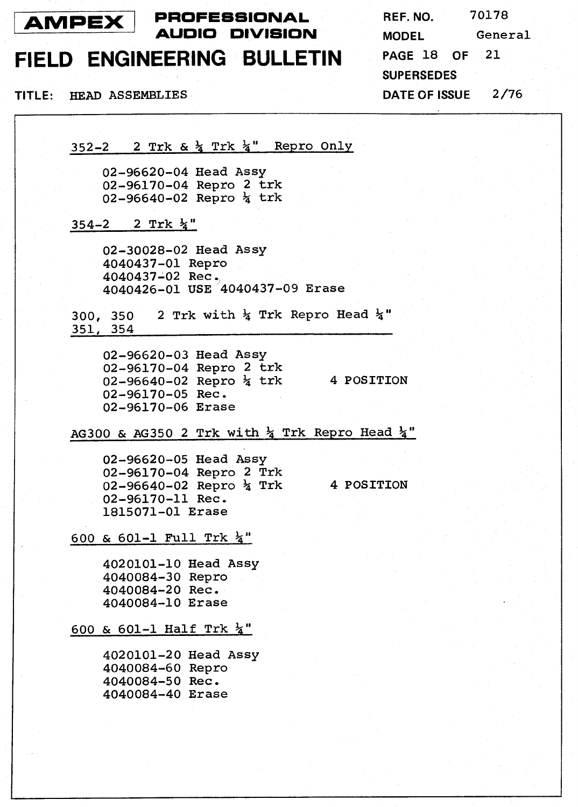

## FIELD ENGINEERING BULLETIN

TITLE: HEAD ASSEMBLIES

70178 REF. NO. **MODEL** General 21 PAGE 18 OF **SUPERSEDES** DATE OF ISSUE 2/76

352-2 2 Trk &  $\frac{1}{4}$  Trk  $\frac{1}{4}$ " Repro Only

02-96620-04 Head Assy 02-96170-04 Repro 2 trk 02-96640-02 Repro  $\frac{1}{4}$  trk

 $354-2$  2 Trk  $\frac{1}{4}$ "

02-30028-02 Head Assy 4040437-01 Repro 4040437-02 Rec. 4040426-01 USE 4040437-09 Erase

2 Trk with  $\frac{1}{4}$  Trk Repro Head  $\frac{1}{4}$ "  $300, 350$ 351, 354

02-96620-03 Head Assy 02-96170-04 Repro 2 trk 02-96640-02 Repro  $\frac{1}{4}$  trk 4 POSITION 02-96170-05 Rec. 02-96170-06 Erase

AG300 & AG350 2 Trk with  $\frac{1}{4}$  Trk Repro Head  $\frac{1}{4}$ "

02-96620-05 Head Assy 02-96170-04 Repro 2 Trk 02-96640-02 Repro  $\frac{1}{4}$  Trk 02-96170-11 Rec. 1815071-01 Erase

4 POSITION

600 & 601-1 Full Trk  $\frac{1}{4}$ "

4020101-10 Head Assy 4040084-30 Repro 4040084-20 Rec. 4040084-10 Erase

600 & 601-1 Half Trk  $\frac{1}{4}$ "

4020101-20 Head Assy 4040084-60 Repro 4040084-50 Rec. 4040084-40 Erase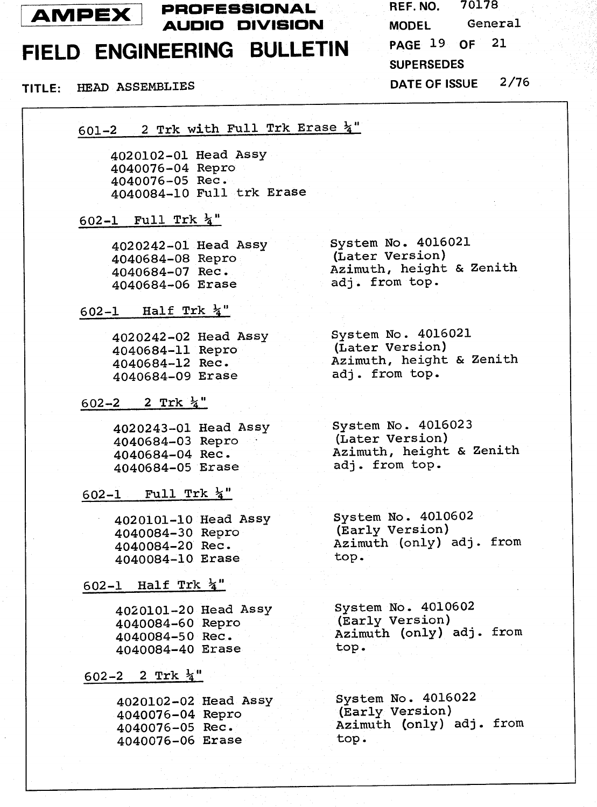

# FIELD ENGINEERING BULLETIN

### TITLE: HEAD ASSEMBLIES

70178 REF. NO. General **MODEL** PAGE 19 OF 21 **SUPERSEDES DATE OF ISSUE**  $2/76$ 

601-2 2 Trk with Full Trk Erase 4"

4020102-01 Head Assy 4040076-04 Repro 4040076-05 Rec. 4040084-10 Full trk Erase

#### 602-1 Full Trk  $\frac{1}{4}$ "

4020242-01 Head Assy 4040684-08 Repro 4040684-07 Rec. 4040684-06 Erase

602-1 Half Trk  $\frac{1}{4}$ "

4020242-02 Head Assy 4040684-11 Repro<br>4040684-12 Rec. 4040684-09 Erase

602-2 2 Trk  $\frac{1}{4}$ "

4020243-01 Head Assy 4040684-03 Repro 4040684-04 Rec. 4040684-05 Erase

602-1 Full Trk  $\frac{1}{4}$ "

4020101-10 Head Assy 4040084-30 Repro 4040084-20 Rec. 4040084-10 Erase

#### 602-1 Half Trk  $\frac{1}{4}$ "

4020101-20 Head Assy 4040084-60 Repro 4040084-50 Rec. 4040084-40 Erase

602-2 2 Trk  $\frac{1}{4}$ "

4020102-02 Head Assy 4040076-04 Repro 4040076-05 Rec. 4040076-06 Erase

System No. 4016021 (Later Version) Azimuth, height & Zenith adj. from top.

System No. 4016021<br>(Later Version)<br>Azimuth. height Azimuth, height & Zenith adi. from top.

System No. 4016023 (Later Version) Azimuth, height & Zenith adi. from top.

System No. 4010602 (Early Version) Azimuth (only) adj. from top.

System No. 4010602 (Early Version) Azimuth (only) adj. from top.

System No. 4016022 (Early Version) Azimuth (only) adj. from top.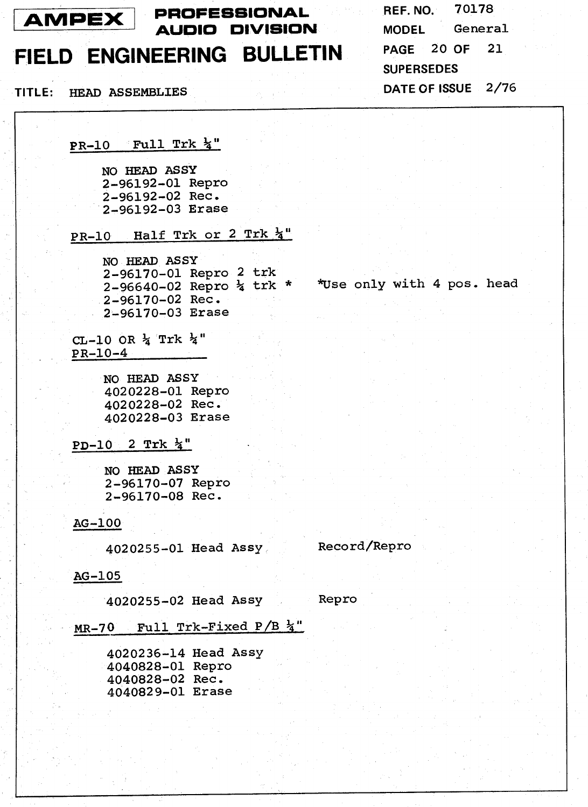

# AMPEX PROFESSIONAL **AUDIO DIVISION**

FIELD ENGINEERING BULLETIN

TITLE: HEAD ASSEMBLIES

 $PR-10$  Full Trk  $\frac{1}{4}$ "

NO HEAD ASSY 2-96192-01 Repro 2-96192-02 Rec. 2-96192-03 Erase

PR-10 Half Trk or 2 Trk 4"

NO HEAD ASSY 2-96170-01 Repro 2 trk  $2-96640-02$  Repro  $\frac{1}{4}$  trk \* \* Wse only with 4 pos. head 2-96170-02 Rec. 2-96170-03 Erase

CL-10 OR  $\frac{1}{4}$  Trk  $\frac{1}{4}$ "  $PR-10-4$ 

> NO HEAD ASSY 4020228-01 Repro 4020228-02 Rec. 4020228-03 Erase

PD-10 2 Trk  $\frac{1}{4}$ "

NO HEAD ASSY 2-96170-07 Repro 2-96170-08 Rec.

#### AG-100

4020255-01 Head Assy

Record/Repro

#### $AG-105$

4020255-02 Head Assy Repro

MR-70 Full Trk-Fixed P/B 4"

4020236-14 Head Assy 4040828-01 Repro 4040828-02 Rec. 4040829-01 Erase

REF. NO. 70178 **MODEL** General PAGE 20 OF 21 **SUPERSEDES** DATE OF ISSUE 2/76